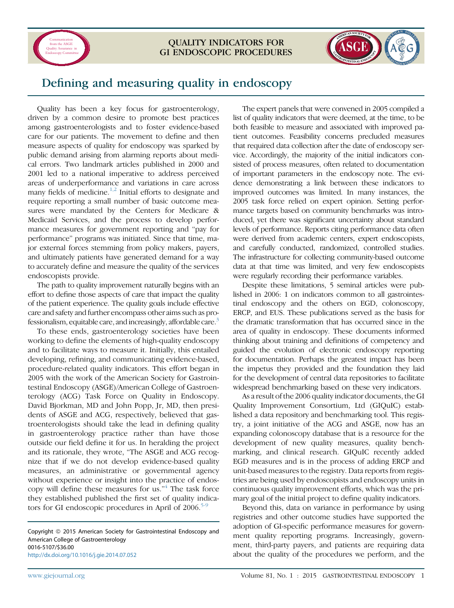



## Defining and measuring quality in endoscopy

Quality has been a key focus for gastroenterology, driven by a common desire to promote best practices among gastroenterologists and to foster evidence-based care for our patients. The movement to define and then measure aspects of quality for endoscopy was sparked by public demand arising from alarming reports about medical errors. Two landmark articles published in 2000 and 2001 led to a national imperative to address perceived areas of underperformance and variations in care across many fields of medicine.<sup>[1,2](#page-1-0)</sup> Initial efforts to designate and require reporting a small number of basic outcome measures were mandated by the Centers for Medicare & Medicaid Services, and the process to develop performance measures for government reporting and "pay for performance" programs was initiated. Since that time, major external forces stemming from policy makers, payers, and ultimately patients have generated demand for a way to accurately define and measure the quality of the services endoscopists provide.

The path to quality improvement naturally begins with an effort to define those aspects of care that impact the quality of the patient experience. The quality goals include effective care and safety and further encompass other aims such as professionalism, equitable care, and increasingly, affordable care.[3](#page-1-0)

To these ends, gastroenterology societies have been working to define the elements of high-quality endoscopy and to facilitate ways to measure it. Initially, this entailed developing, refining, and communicating evidence-based, procedure-related quality indicators. This effort began in 2005 with the work of the American Society for Gastrointestinal Endoscopy (ASGE)/American College of Gastroenterology (ACG) Task Force on Quality in Endoscopy. David Bjorkman, MD and John Popp, Jr, MD, then presidents of ASGE and ACG, respectively, believed that gastroenterologists should take the lead in defining quality in gastroenterology practice rather than have those outside our field define it for us. In heralding the project and its rationale, they wrote, "The ASGE and ACG recognize that if we do not develop evidence-based quality measures, an administrative or governmental agency without experience or insight into the practice of endoscopy will define these measures for us." [4](#page-1-0) The task force they established published the first set of quality indicators for GI endoscopic procedures in April of  $2006$ .<sup>[5-9](#page-1-0)</sup>

Copyright @ 2015 American Society for Gastrointestinal Endoscopy and American College of Gastroenterology 0016-5107/\$36.00 <http://dx.doi.org/10.1016/j.gie.2014.07.052>

The expert panels that were convened in 2005 compiled a list of quality indicators that were deemed, at the time, to be both feasible to measure and associated with improved patient outcomes. Feasibility concerns precluded measures that required data collection after the date of endoscopy service. Accordingly, the majority of the initial indicators consisted of process measures, often related to documentation of important parameters in the endoscopy note. The evidence demonstrating a link between these indicators to improved outcomes was limited. In many instances, the 2005 task force relied on expert opinion. Setting performance targets based on community benchmarks was introduced, yet there was significant uncertainty about standard levels of performance. Reports citing performance data often were derived from academic centers, expert endoscopists, and carefully conducted, randomized, controlled studies. The infrastructure for collecting community-based outcome data at that time was limited, and very few endoscopists were regularly recording their performance variables.

Despite these limitations, 5 seminal articles were published in 2006: 1 on indicators common to all gastrointestinal endoscopy and the others on EGD, colonoscopy, ERCP, and EUS. These publications served as the basis for the dramatic transformation that has occurred since in the area of quality in endoscopy. These documents informed thinking about training and definitions of competency and guided the evolution of electronic endoscopy reporting for documentation. Perhaps the greatest impact has been the impetus they provided and the foundation they laid for the development of central data repositories to facilitate widespread benchmarking based on these very indicators.

As a result of the 2006 quality indicator documents, the GI Quality Improvement Consortium, Ltd (GIQuIC) established a data repository and benchmarking tool. This registry, a joint initiative of the ACG and ASGE, now has an expanding colonoscopy database that is a resource for the development of new quality measures, quality benchmarking, and clinical research. GIQuIC recently added EGD measures and is in the process of adding ERCP and unit-based measures to the registry. Data reports from registries are being used by endoscopists and endoscopy units in continuous quality improvement efforts, which was the primary goal of the initial project to define quality indicators.

Beyond this, data on variance in performance by using registries and other outcome studies have supported the adoption of GI-specific performance measures for government quality reporting programs. Increasingly, government, third-party payers, and patients are requiring data about the quality of the procedures we perform, and the